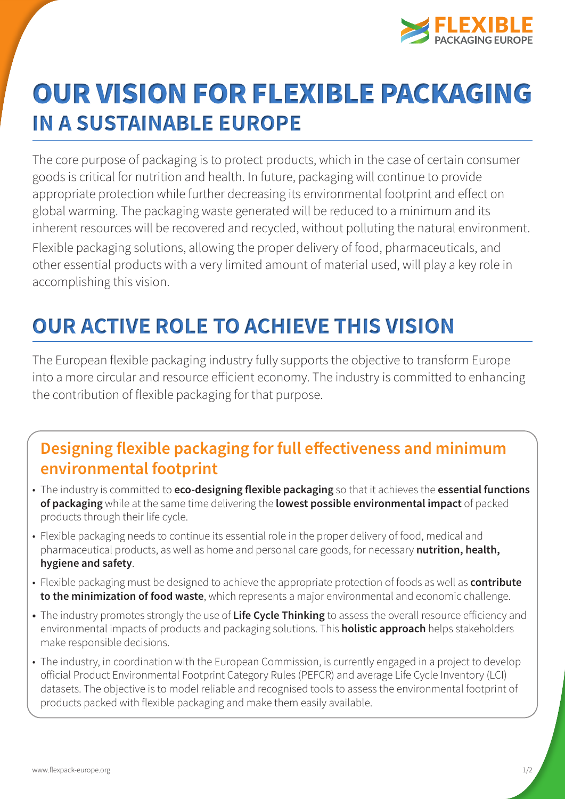

# OUR VISION FOR FLEXIBLE PACKAGING **IN A SUSTAINABLE EUROPE**

The core purpose of packaging is to protect products, which in the case of certain consumer goods is critical for nutrition and health. In future, packaging will continue to provide appropriate protection while further decreasing its environmental footprint and effect on global warming. The packaging waste generated will be reduced to a minimum and its inherent resources will be recovered and recycled, without polluting the natural environment. Flexible packaging solutions, allowing the proper delivery of food, pharmaceuticals, and other essential products with a very limited amount of material used, will play a key role in accomplishing this vision.

## **OUR ACTIVE ROLE TO ACHIEVE THIS VISION**

The European flexible packaging industry fully supports the objective to transform Europe into a more circular and resource efficient economy. The industry is committed to enhancing the contribution of flexible packaging for that purpose.

### **Designing flexible packaging for full effectiveness and minimum environmental footprint**

- The industry is committed to **eco-designing flexible packaging** so that it achieves the **essential functions of packaging** while at the same time delivering the **lowest possible environmental impact** of packed products through their life cycle.
- Flexible packaging needs to continue its essential role in the proper delivery of food, medical and pharmaceutical products, as well as home and personal care goods, for necessary **nutrition, health, hygiene and safety**.
- Flexible packaging must be designed to achieve the appropriate protection of foods as well as **contribute to the minimization of food waste**, which represents a major environmental and economic challenge.
- **•** The industry promotes strongly the use of **Life Cycle Thinking** to assess the overall resource efficiency and environmental impacts of products and packaging solutions. This **holistic approach** helps stakeholders make responsible decisions.
- The industry, in coordination with the European Commission, is currently engaged in a project to develop official Product Environmental Footprint Category Rules (PEFCR) and average Life Cycle Inventory (LCI) datasets. The objective is to model reliable and recognised tools to assess the environmental footprint of products packed with flexible packaging and make them easily available.